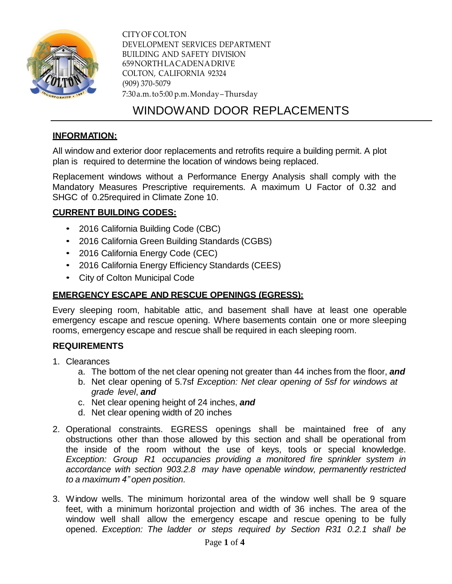

CITYOF COLTON DEVELOPMENT SERVICES DEPARTMENT BUILDING AND SAFETY DIVISION 659NORTHLACADENADRIVE COLTON, CALIFORNIA 92324 (909) 370-5079 7:30a.m.to5:00 p.m.Monday–Thursday

# WINDOWAND DOOR REPLACEMENTS

# **INFORMATION:**

All window and exterior door replacements and retrofits require a building permit. A plot plan is required to determine the location of windows being replaced.

Replacement windows without a Performance Energy Analysis shall comply with the Mandatory Measures Prescriptive requirements. A maximum U Factor of 0.32 and SHGC of 0.25required in Climate Zone 10.

# **CURRENT BUILDING CODES:**

- 2016 California Building Code (CBC)
- 2016 California Green Building Standards (CGBS)
- 2016 California Energy Code (CEC)
- 2016 California Energy Efficiency Standards (CEES)
- City of Colton Municipal Code

# **EMERGENCY ESCAPE AND RESCUE OPENINGS (EGRESS):**

Every sleeping room, habitable attic, and basement shall have at least one operable emergency escape and rescue opening. Where basements contain one or more sleeping rooms, emergency escape and rescue shall be required in each sleeping room.

#### **REQUIREMENTS**

- 1. Clearances
	- a. The bottom of the net clear opening not greater than 44 inches from the floor, *and*
	- b. Net clear opening of 5.7sf *Exception: Net clear opening of 5sf for windows at grade level*, *and*
	- c. Net clear opening height of 24 inches, *and*
	- d. Net clear opening width of 20 inches
- 2. Operational constraints. EGRESS openings shall be maintained free of any obstructions other than those allowed by this section and shall be operational from the inside of the room without the use of keys, tools or special knowledge. *Exception: Group R1 occupancies providing a monitored fire sprinkler system in accordance with section 903.2.8 may have openable window, permanently restricted to a maximum 4" open position.*
- 3. Window wells. The minimum horizontal area of the window well shall be 9 square feet, with a minimum horizontal projection and width of 36 inches. The area of the window well shall allow the emergency escape and rescue opening to be fully opened. *Exception: The ladder or steps required by Section R31 0.2.1 shall be*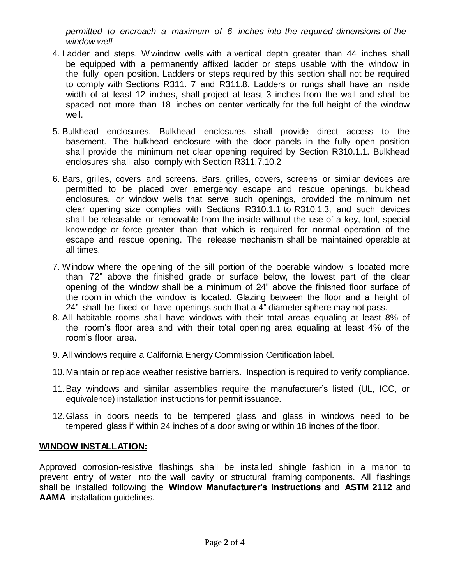*permitted to encroach a maximum of 6 inches into the required dimensions of the window well*

- 4. Ladder and steps. Wwindow wells with a vertical depth greater than 44 inches shall be equipped with a permanently affixed ladder or steps usable with the window in the fully open position. Ladders or steps required by this section shall not be required to comply with Sections R311. 7 and R311.8. Ladders or rungs shall have an inside width of at least 12 inches, shall project at least 3 inches from the wall and shall be spaced not more than 18 inches on center vertically for the full height of the window well.
- 5. Bulkhead enclosures. Bulkhead enclosures shall provide direct access to the basement. The bulkhead enclosure with the door panels in the fully open position shall provide the minimum net clear opening required by Section R310.1.1. Bulkhead enclosures shall also comply with Section R311.7.10.2
- 6. Bars, grilles, covers and screens. Bars, grilles, covers, screens or similar devices are permitted to be placed over emergency escape and rescue openings, bulkhead enclosures, or window wells that serve such openings, provided the minimum net clear opening size complies with Sections R310.1.1 to R310.1.3, and such devices shall be releasable or removable from the inside without the use of a key, tool, special knowledge or force greater than that which is required for normal operation of the escape and rescue opening. The release mechanism shall be maintained operable at all times.
- 7. Window where the opening of the sill portion of the operable window is located more than 72" above the finished grade or surface below, the lowest part of the clear opening of the window shall be a minimum of 24" above the finished floor surface of the room in which the window is located. Glazing between the floor and a height of 24" shall be fixed or have openings such that a 4" diameter sphere may not pass.
- 8. All habitable rooms shall have windows with their total areas equaling at least 8% of the room's floor area and with their total opening area equaling at least 4% of the room's floor area.
- 9. All windows require a California Energy Commission Certification label.
- 10.Maintain or replace weather resistive barriers. Inspection is required to verify compliance.
- 11.Bay windows and similar assemblies require the manufacturer's listed (UL, ICC, or equivalence) installation instructions for permit issuance.
- 12.Glass in doors needs to be tempered glass and glass in windows need to be tempered glass if within 24 inches of a door swing or within 18 inches of the floor.

#### **WINDOW INSTALLATION:**

Approved corrosion-resistive flashings shall be installed shingle fashion in a manor to prevent entry of water into the wall cavity or structural framing components. All flashings shall be installed following the **Window Manufacturer's Instructions** and **ASTM 2112** and **AAMA** installation guidelines.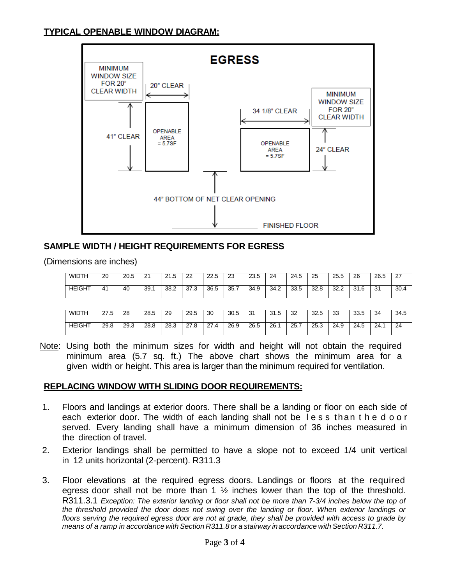# **TYPICAL OPENABLE WINDOW DIAGRAM:**



# **SAMPLE WIDTH / HEIGHT REQUIREMENTS FOR EGRESS**

(Dimensions are inches)

| <b>WIDTH</b>  | 20 | ാറ<br>20.J | n.<br><u>.</u> | ົ<br>∽<br>ن. ا ڪ | $\sim$<br>∠∠    | nn<br>44.U | nn.<br>ںے   | 23.5 | 24   | 24.5<br>$\overline{ }$ | 25                  | 25.5           | 26   | 26.5     | ے    |
|---------------|----|------------|----------------|------------------|-----------------|------------|-------------|------|------|------------------------|---------------------|----------------|------|----------|------|
| <b>HEIGHT</b> | 41 | 40         | 39.7           | 38.2             | $\sim$<br>ن. ان | 36.5       | って<br>JJ. 1 | 34.9 | 34.2 | nn<br>-<br>∽<br>ບບ.ບ   | $\sim$<br>റ<br>32.O | $\sim$<br>32.Z | 31.6 | ົ<br>. ت | 30.4 |

| <b>WIDTH</b>  | ~~<br>ں. اے | 28   | 28.5 | 29   | 29.5                 | 30                            | 30.5 | 21<br>ິບ | 31.5 | つつ<br>ےں | 32.5 | วว<br>ഄഄ | ろろ ピ<br>ບບ.ບ | 34   | 34.5 |
|---------------|-------------|------|------|------|----------------------|-------------------------------|------|----------|------|----------|------|----------|--------------|------|------|
| <b>HEIGHT</b> | 29.8        | 29.3 | 28.8 | 28.3 | $\sim$<br>$\epsilon$ | $\sim$<br>4<br><u>.</u><br>-- | 26.9 | 26.5     | 26.  | 25.7     | 25.3 | 24.9     | 24.5         | 24.7 | 24   |

Note: Using both the minimum sizes for width and height will not obtain the required minimum area (5.7 sq. ft.) The above chart shows the minimum area for a given width or height. This area is larger than the minimum required for ventilation.

# **REPLACING WINDOW WITH SLIDING DOOR REQUIREMENTS:**

- 1. Floors and landings at exterior doors. There shall be a landing or floor on each side of each exterior door. The width of each landing shall not be l e s s than t h e d o o r served. Every landing shall have a minimum dimension of 36 inches measured in the direction of travel.
- 2. Exterior landings shall be permitted to have a slope not to exceed 1/4 unit vertical in 12 units horizontal (2-percent). R311.3
- 3. Floor elevations at the required egress doors. Landings or floors at the required egress door shall not be more than 1  $\frac{1}{2}$  inches lower than the top of the threshold. R311.3.1 *Exception: The exterior landing or floor shall not be more than 7-3/4 inches below the top of the threshold provided the door does not swing over the landing or floor. When exterior landings or* floors serving the required egress door are not at grade, they shall be provided with access to grade by *means of a ramp in accordance withSection R311.8 or a stairway inaccordance with Section R311.7.*